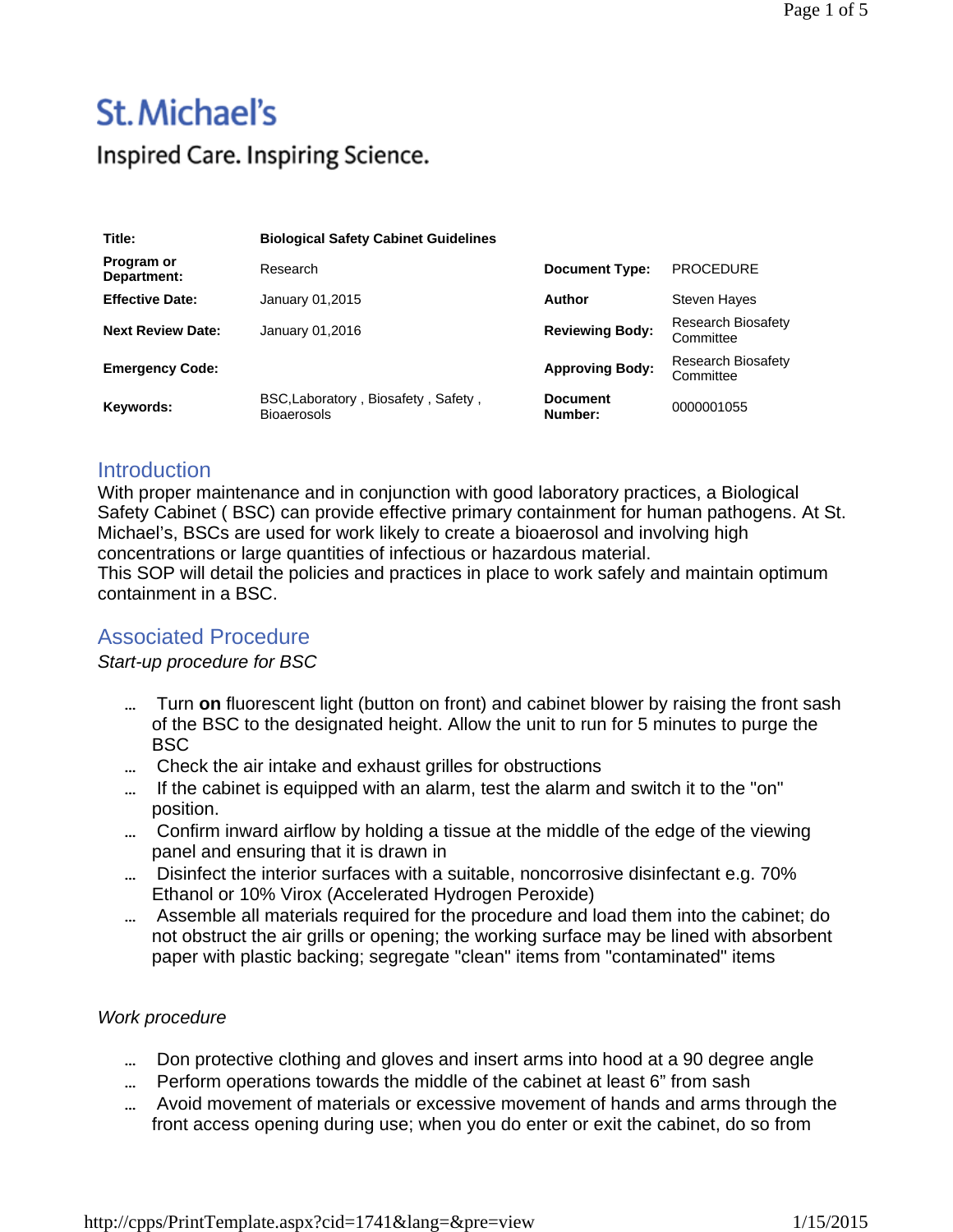# St. Michael's Inspired Care. Inspiring Science.

| Title:                    | <b>Biological Safety Cabinet Guidelines</b>               |                            |                                        |
|---------------------------|-----------------------------------------------------------|----------------------------|----------------------------------------|
| Program or<br>Department: | Research                                                  | <b>Document Type:</b>      | <b>PROCEDURE</b>                       |
| <b>Effective Date:</b>    | January 01,2015                                           | Author                     | Steven Hayes                           |
| <b>Next Review Date:</b>  | January 01,2016                                           | <b>Reviewing Body:</b>     | <b>Research Biosafety</b><br>Committee |
| <b>Emergency Code:</b>    |                                                           | <b>Approving Body:</b>     | <b>Research Biosafety</b><br>Committee |
| Keywords:                 | BSC, Laboratory, Biosafety, Safety,<br><b>Bioaerosols</b> | <b>Document</b><br>Number: | 0000001055                             |

## **Introduction**

With proper maintenance and in conjunction with good laboratory practices, a Biological Safety Cabinet ( BSC) can provide effective primary containment for human pathogens. At St. Michael's, BSCs are used for work likely to create a bioaerosol and involving high concentrations or large quantities of infectious or hazardous material.

This SOP will detail the policies and practices in place to work safely and maintain optimum containment in a BSC.

# Associated Procedure

#### *Start-up procedure for BSC*

- Turn **on** fluorescent light (button on front) and cabinet blower by raising the front sash of the BSC to the designated height. Allow the unit to run for 5 minutes to purge the BSC
- Check the air intake and exhaust grilles for obstructions
- ... If the cabinet is equipped with an alarm, test the alarm and switch it to the "on" position.
- Confirm inward airflow by holding a tissue at the middle of the edge of the viewing panel and ensuring that it is drawn in
- Disinfect the interior surfaces with a suitable, noncorrosive disinfectant e.g. 70% Ethanol or 10% Virox (Accelerated Hydrogen Peroxide)
- Assemble all materials required for the procedure and load them into the cabinet; do not obstruct the air grills or opening; the working surface may be lined with absorbent paper with plastic backing; segregate "clean" items from "contaminated" items

## *Work procedure*

- ... Don protective clothing and gloves and insert arms into hood at a 90 degree angle
- Perform operations towards the middle of the cabinet at least 6" from sash
- Avoid movement of materials or excessive movement of hands and arms through the front access opening during use; when you do enter or exit the cabinet, do so from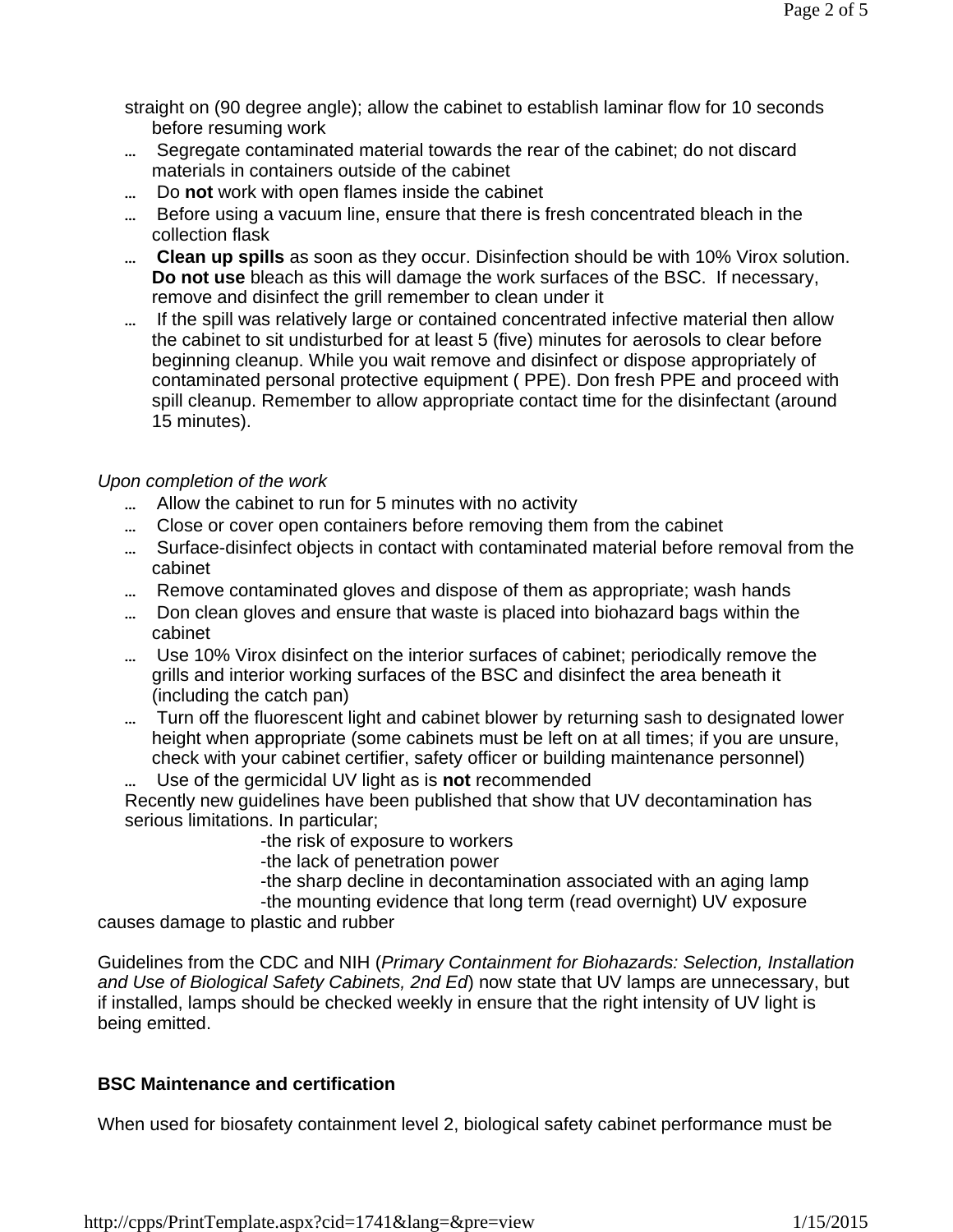straight on (90 degree angle); allow the cabinet to establish laminar flow for 10 seconds before resuming work

- Segregate contaminated material towards the rear of the cabinet; do not discard materials in containers outside of the cabinet
- Do **not** work with open flames inside the cabinet
- Before using a vacuum line, ensure that there is fresh concentrated bleach in the collection flask
- **Clean up spills** as soon as they occur. Disinfection should be with 10% Virox solution. **Do not use** bleach as this will damage the work surfaces of the BSC. If necessary, remove and disinfect the grill remember to clean under it
- If the spill was relatively large or contained concentrated infective material then allow the cabinet to sit undisturbed for at least 5 (five) minutes for aerosols to clear before beginning cleanup. While you wait remove and disinfect or dispose appropriately of contaminated personal protective equipment ( PPE). Don fresh PPE and proceed with spill cleanup. Remember to allow appropriate contact time for the disinfectant (around 15 minutes).

## *Upon completion of the work*

- Allow the cabinet to run for 5 minutes with no activity
- ... Close or cover open containers before removing them from the cabinet
- Surface-disinfect objects in contact with contaminated material before removal from the cabinet
- ... Remove contaminated gloves and dispose of them as appropriate; wash hands
- Don clean gloves and ensure that waste is placed into biohazard bags within the cabinet
- Use 10% Virox disinfect on the interior surfaces of cabinet; periodically remove the grills and interior working surfaces of the BSC and disinfect the area beneath it (including the catch pan)
- ... Turn off the fluorescent light and cabinet blower by returning sash to designated lower height when appropriate (some cabinets must be left on at all times; if you are unsure, check with your cabinet certifier, safety officer or building maintenance personnel)
	- Use of the germicidal UV light as is **not** recommended

Recently new guidelines have been published that show that UV decontamination has serious limitations. In particular;

-the risk of exposure to workers

-the lack of penetration power

-the sharp decline in decontamination associated with an aging lamp

-the mounting evidence that long term (read overnight) UV exposure

causes damage to plastic and rubber

Guidelines from the CDC and NIH (*Primary Containment for Biohazards: Selection, Installation and Use of Biological Safety Cabinets, 2nd Ed*) now state that UV lamps are unnecessary, but if installed, lamps should be checked weekly in ensure that the right intensity of UV light is being emitted.

## **BSC Maintenance and certification**

When used for biosafety containment level 2, biological safety cabinet performance must be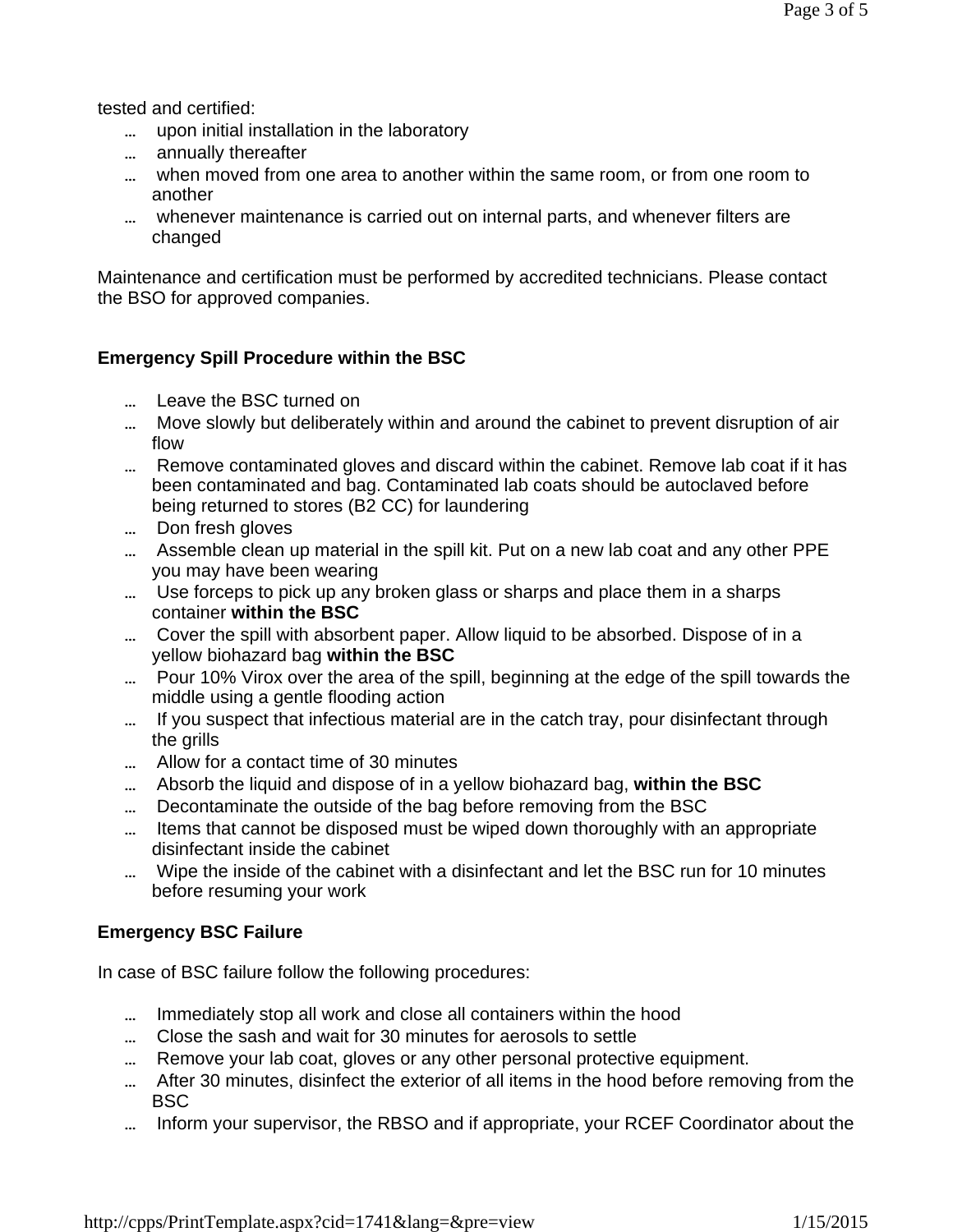tested and certified:

- ... upon initial installation in the laboratory
- ... annually thereafter
- when moved from one area to another within the same room, or from one room to another
- whenever maintenance is carried out on internal parts, and whenever filters are changed

Maintenance and certification must be performed by accredited technicians. Please contact the BSO for approved companies.

## **Emergency Spill Procedure within the BSC**

- ... Leave the BSC turned on
- Move slowly but deliberately within and around the cabinet to prevent disruption of air flow
- ... Remove contaminated gloves and discard within the cabinet. Remove lab coat if it has been contaminated and bag. Contaminated lab coats should be autoclaved before being returned to stores (B2 CC) for laundering
- ... Don fresh gloves
- Assemble clean up material in the spill kit. Put on a new lab coat and any other PPE you may have been wearing
- Use forceps to pick up any broken glass or sharps and place them in a sharps container **within the BSC**
- Cover the spill with absorbent paper. Allow liquid to be absorbed. Dispose of in a yellow biohazard bag **within the BSC**
- Pour 10% Virox over the area of the spill, beginning at the edge of the spill towards the middle using a gentle flooding action
- ... If you suspect that infectious material are in the catch tray, pour disinfectant through the grills
- Allow for a contact time of 30 minutes
- Absorb the liquid and dispose of in a yellow biohazard bag, **within the BSC**
- Decontaminate the outside of the bag before removing from the BSC
- ... Items that cannot be disposed must be wiped down thoroughly with an appropriate disinfectant inside the cabinet
- Wipe the inside of the cabinet with a disinfectant and let the BSC run for 10 minutes before resuming your work

## **Emergency BSC Failure**

In case of BSC failure follow the following procedures:

- Immediately stop all work and close all containers within the hood
- Close the sash and wait for 30 minutes for aerosols to settle
- ... Remove your lab coat, gloves or any other personal protective equipment.
- After 30 minutes, disinfect the exterior of all items in the hood before removing from the BSC
- Inform your supervisor, the RBSO and if appropriate, your RCEF Coordinator about the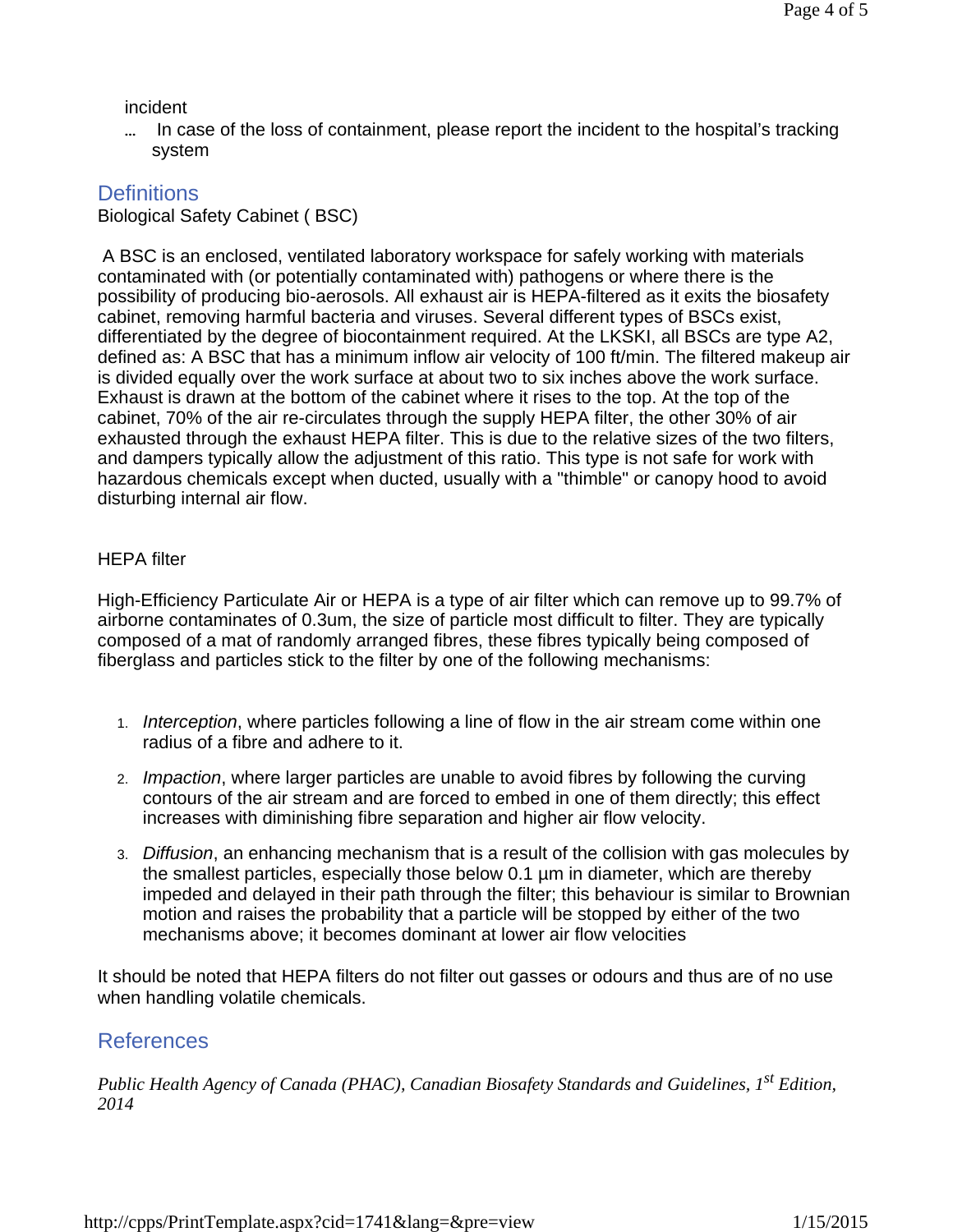#### incident

... In case of the loss of containment, please report the incident to the hospital's tracking system

## **Definitions**

Biological Safety Cabinet ( BSC)

A BSC is an enclosed, ventilated laboratory workspace for safely working with materials contaminated with (or potentially contaminated with) pathogens or where there is the possibility of producing bio-aerosols. All exhaust air is HEPA-filtered as it exits the biosafety cabinet, removing harmful bacteria and viruses. Several different types of BSCs exist, differentiated by the degree of biocontainment required. At the LKSKI, all BSCs are type A2, defined as: A BSC that has a minimum inflow air velocity of 100 ft/min. The filtered makeup air is divided equally over the work surface at about two to six inches above the work surface. Exhaust is drawn at the bottom of the cabinet where it rises to the top. At the top of the cabinet, 70% of the air re-circulates through the supply HEPA filter, the other 30% of air exhausted through the exhaust HEPA filter. This is due to the relative sizes of the two filters, and dampers typically allow the adjustment of this ratio. This type is not safe for work with hazardous chemicals except when ducted, usually with a "thimble" or canopy hood to avoid disturbing internal air flow.

#### HEPA filter

High-Efficiency Particulate Air or HEPA is a type of air filter which can remove up to 99.7% of airborne contaminates of 0.3um, the size of particle most difficult to filter. They are typically composed of a mat of randomly arranged fibres, these fibres typically being composed of fiberglass and particles stick to the filter by one of the following mechanisms:

- 1. *Interception*, where particles following a line of flow in the air stream come within one radius of a fibre and adhere to it.
- 2. *Impaction*, where larger particles are unable to avoid fibres by following the curving contours of the air stream and are forced to embed in one of them directly; this effect increases with diminishing fibre separation and higher air flow velocity.
- 3. *Diffusion*, an enhancing mechanism that is a result of the collision with gas molecules by the smallest particles, especially those below 0.1 µm in diameter, which are thereby impeded and delayed in their path through the filter; this behaviour is similar to Brownian motion and raises the probability that a particle will be stopped by either of the two mechanisms above; it becomes dominant at lower air flow velocities

It should be noted that HEPA filters do not filter out gasses or odours and thus are of no use when handling volatile chemicals.

# References

*Public Health Agency of Canada (PHAC), Canadian Biosafety Standards and Guidelines, 1st Edition, 2014*